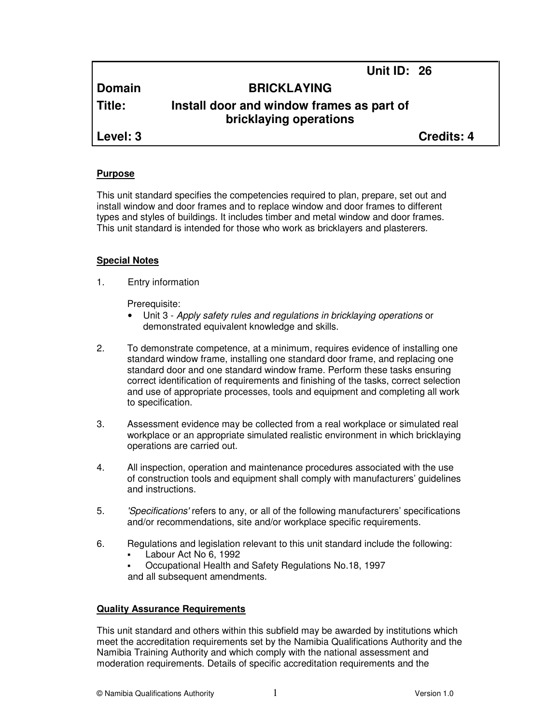| <b>Domain</b> | <b>BRICKLAYING</b>                                                  |                   |
|---------------|---------------------------------------------------------------------|-------------------|
| <b>Title:</b> | Install door and window frames as part of<br>bricklaying operations |                   |
| Level: 3      |                                                                     | <b>Credits: 4</b> |

**Unit ID: 26** 

#### **Purpose**

This unit standard specifies the competencies required to plan, prepare, set out and install window and door frames and to replace window and door frames to different types and styles of buildings. It includes timber and metal window and door frames. This unit standard is intended for those who work as bricklayers and plasterers.

#### **Special Notes**

1. Entry information

Prerequisite:

- Unit 3 Apply safety rules and regulations in bricklaying operations or demonstrated equivalent knowledge and skills.
- 2. To demonstrate competence, at a minimum, requires evidence of installing one standard window frame, installing one standard door frame, and replacing one standard door and one standard window frame. Perform these tasks ensuring correct identification of requirements and finishing of the tasks, correct selection and use of appropriate processes, tools and equipment and completing all work to specification.
- 3. Assessment evidence may be collected from a real workplace or simulated real workplace or an appropriate simulated realistic environment in which bricklaying operations are carried out.
- 4. All inspection, operation and maintenance procedures associated with the use of construction tools and equipment shall comply with manufacturers' guidelines and instructions.
- 5. 'Specifications' refers to any, or all of the following manufacturers' specifications and/or recommendations, site and/or workplace specific requirements.
- 6. Regulations and legislation relevant to this unit standard include the following:
	- Labour Act No 6, 1992
	- Occupational Health and Safety Regulations No.18, 1997 and all subsequent amendments.

### **Quality Assurance Requirements**

This unit standard and others within this subfield may be awarded by institutions which meet the accreditation requirements set by the Namibia Qualifications Authority and the Namibia Training Authority and which comply with the national assessment and moderation requirements. Details of specific accreditation requirements and the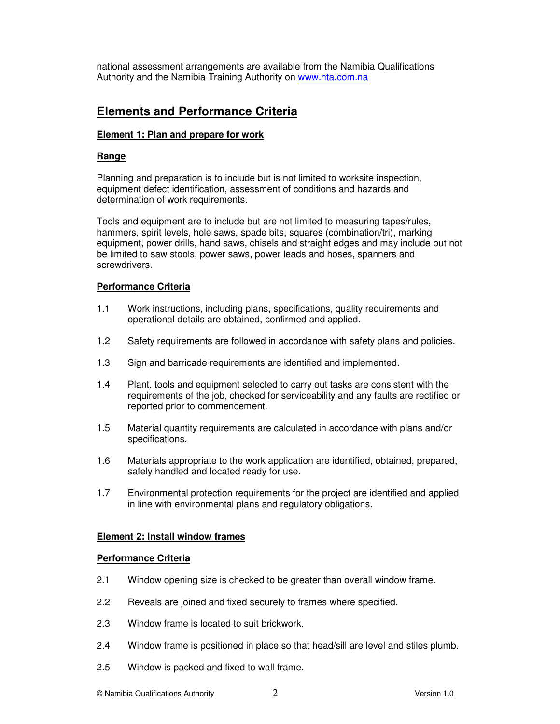national assessment arrangements are available from the Namibia Qualifications Authority and the Namibia Training Authority on www.nta.com.na

# **Elements and Performance Criteria**

### **Element 1: Plan and prepare for work**

### **Range**

Planning and preparation is to include but is not limited to worksite inspection, equipment defect identification, assessment of conditions and hazards and determination of work requirements.

Tools and equipment are to include but are not limited to measuring tapes/rules, hammers, spirit levels, hole saws, spade bits, squares (combination/tri), marking equipment, power drills, hand saws, chisels and straight edges and may include but not be limited to saw stools, power saws, power leads and hoses, spanners and screwdrivers.

## **Performance Criteria**

- 1.1 Work instructions, including plans, specifications, quality requirements and operational details are obtained, confirmed and applied.
- 1.2 Safety requirements are followed in accordance with safety plans and policies.
- 1.3 Sign and barricade requirements are identified and implemented.
- 1.4 Plant, tools and equipment selected to carry out tasks are consistent with the requirements of the job, checked for serviceability and any faults are rectified or reported prior to commencement.
- 1.5 Material quantity requirements are calculated in accordance with plans and/or specifications.
- 1.6 Materials appropriate to the work application are identified, obtained, prepared, safely handled and located ready for use.
- 1.7 Environmental protection requirements for the project are identified and applied in line with environmental plans and regulatory obligations.

### **Element 2: Install window frames**

### **Performance Criteria**

- 2.1 Window opening size is checked to be greater than overall window frame.
- 2.2 Reveals are joined and fixed securely to frames where specified.
- 2.3 Window frame is located to suit brickwork.
- 2.4 Window frame is positioned in place so that head/sill are level and stiles plumb.
- 2.5 Window is packed and fixed to wall frame.